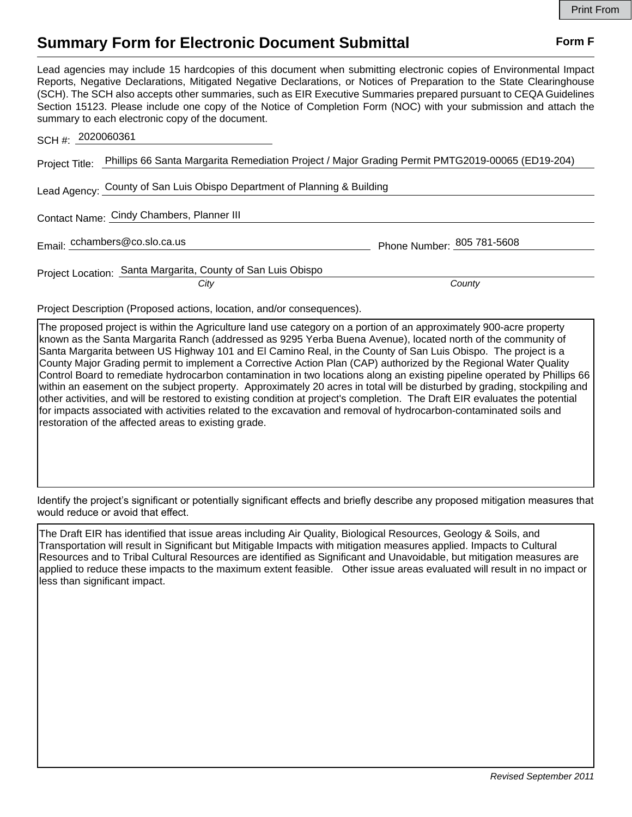## **Summary Form for Electronic Document Submittal Form F Form F**

Lead agencies may include 15 hardcopies of this document when submitting electronic copies of Environmental Impact Reports, Negative Declarations, Mitigated Negative Declarations, or Notices of Preparation to the State Clearinghouse (SCH). The SCH also accepts other summaries, such as EIR Executive Summaries prepared pursuant to CEQA Guidelines Section 15123. Please include one copy of the Notice of Completion Form (NOC) with your submission and attach the summary to each electronic copy of the document.

| SCH #: 2020060361                                                                                               |                            |
|-----------------------------------------------------------------------------------------------------------------|----------------------------|
| Project Title: Phillips 66 Santa Margarita Remediation Project / Major Grading Permit PMTG2019-00065 (ED19-204) |                            |
| Lead Agency: County of San Luis Obispo Department of Planning & Building                                        |                            |
| Contact Name: Cindy Chambers, Planner III                                                                       |                            |
| Email: cchambers@co.slo.ca.us                                                                                   | Phone Number: 805 781-5608 |
| Project Location: Santa Margarita, County of San Luis Obispo<br>City                                            | County                     |

Project Description (Proposed actions, location, and/or consequences).

The proposed project is within the Agriculture land use category on a portion of an approximately 900-acre property known as the Santa Margarita Ranch (addressed as 9295 Yerba Buena Avenue), located north of the community of Santa Margarita between US Highway 101 and El Camino Real, in the County of San Luis Obispo. The project is a County Major Grading permit to implement a Corrective Action Plan (CAP) authorized by the Regional Water Quality Control Board to remediate hydrocarbon contamination in two locations along an existing pipeline operated by Phillips 66 within an easement on the subject property. Approximately 20 acres in total will be disturbed by grading, stockpiling and other activities, and will be restored to existing condition at project's completion. The Draft EIR evaluates the potential for impacts associated with activities related to the excavation and removal of hydrocarbon-contaminated soils and restoration of the affected areas to existing grade.

Identify the project's significant or potentially significant effects and briefly describe any proposed mitigation measures that would reduce or avoid that effect.

The Draft EIR has identified that issue areas including Air Quality, Biological Resources, Geology & Soils, and Transportation will result in Significant but Mitigable Impacts with mitigation measures applied. Impacts to Cultural Resources and to Tribal Cultural Resources are identified as Significant and Unavoidable, but mitigation measures are applied to reduce these impacts to the maximum extent feasible. Other issue areas evaluated will result in no impact or less than significant impact.